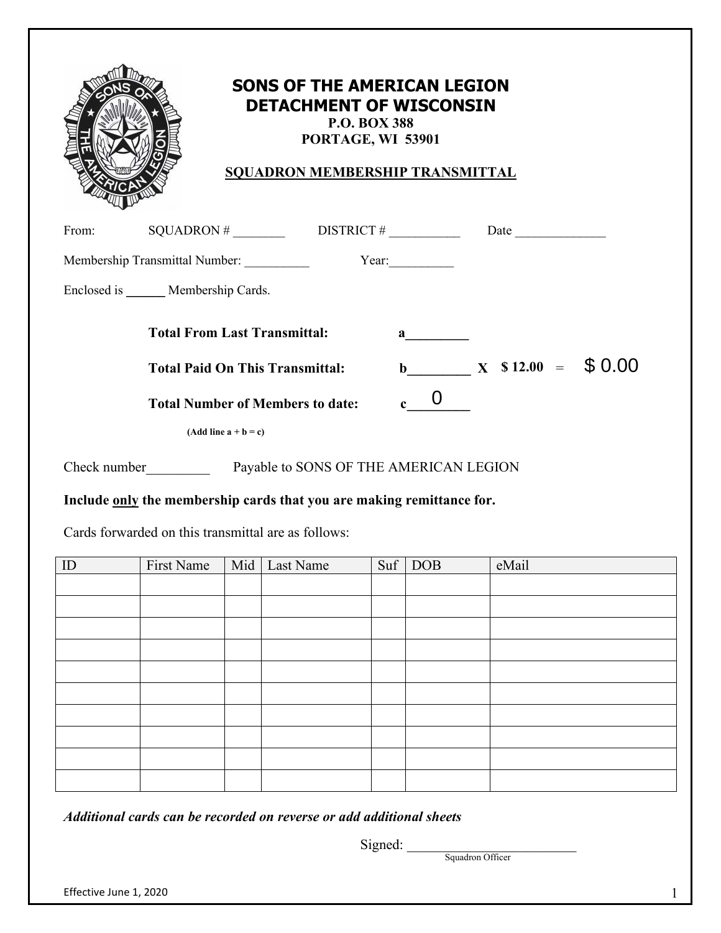| b |  |
|---|--|
|   |  |

## **SONS OF THE AMERICAN LEGION DETACHMENT OF WISCONSIN P.O. BOX 388**

**PORTAGE, WI 53901** 

**SQUADRON MEMBERSHIP TRANSMITTAL**

| From:        | SQUADRON #                              | DISTRICT #                             |                                                                                                                                                                                                                                                                                                  | Date                     |  |
|--------------|-----------------------------------------|----------------------------------------|--------------------------------------------------------------------------------------------------------------------------------------------------------------------------------------------------------------------------------------------------------------------------------------------------|--------------------------|--|
|              | Membership Transmittal Number:          |                                        | Year:                                                                                                                                                                                                                                                                                            |                          |  |
|              | Enclosed is Membership Cards.           |                                        |                                                                                                                                                                                                                                                                                                  |                          |  |
|              | <b>Total From Last Transmittal:</b>     |                                        | $\mathbf{a}$ and $\mathbf{a}$ and $\mathbf{a}$ and $\mathbf{a}$ and $\mathbf{a}$ and $\mathbf{a}$ and $\mathbf{a}$ and $\mathbf{a}$ and $\mathbf{a}$ and $\mathbf{a}$ and $\mathbf{a}$ and $\mathbf{a}$ and $\mathbf{a}$ and $\mathbf{a}$ and $\mathbf{a}$ and $\mathbf{a}$ and $\mathbf{a}$ and |                          |  |
|              | <b>Total Paid On This Transmittal:</b>  |                                        | $\mathbf b$                                                                                                                                                                                                                                                                                      | $X \quad $12.00 = $0.00$ |  |
|              | <b>Total Number of Members to date:</b> |                                        | c.                                                                                                                                                                                                                                                                                               |                          |  |
|              | $(Add line a + b = c)$                  |                                        |                                                                                                                                                                                                                                                                                                  |                          |  |
| Check number |                                         | Payable to SONS OF THE AMERICAN LEGION |                                                                                                                                                                                                                                                                                                  |                          |  |

**Include only the membership cards that you are making remittance for.**

Cards forwarded on this transmittal are as follows:

| ID | First Name | Mid Last Name | $\text{Suf}$ DOB | eMail |
|----|------------|---------------|------------------|-------|
|    |            |               |                  |       |
|    |            |               |                  |       |
|    |            |               |                  |       |
|    |            |               |                  |       |
|    |            |               |                  |       |
|    |            |               |                  |       |
|    |            |               |                  |       |
|    |            |               |                  |       |
|    |            |               |                  |       |
|    |            |               |                  |       |

*Additional cards can be recorded on reverse or add additional sheets* 

 $Signed:$ 

Squadron Officer